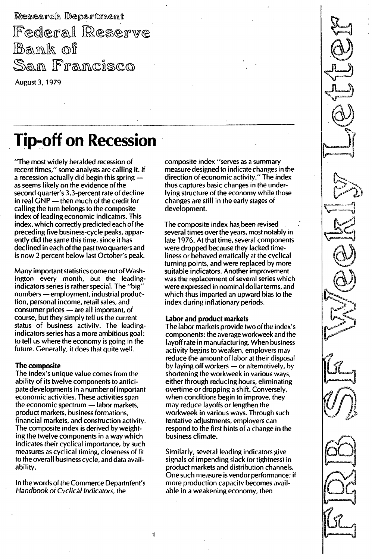Research Department Federal Reserve Bank of San Francisco August 3, 1979

# Tip-off on Recession

"The most widely heralded recession of recent times," some analysts are calling it. If a recession actually did begin this spring  $$ as seems likely on the evidence of the second quarter's 3.3-percent rate of decline in real  $GNP$  - then much of the credit for calling the turn belongs to the composite index of leading economic indicators. This index. which correctly predicted each of the preceding five business-cycle peaks, apparently did the same this time, since it has declined ineach of the past two quarters and is now 2 percent below last October's peak.

Many important statistics come out of Washington every month, but the leadingindicators series is rather special. The "big" numbers - employment, industrial production, personal income, retail sales, and consumer prices - are all important, of course, but they simply tell us the current status of business activity. The leadingindicators series has a more ambitious goal: to tell us where the economy is going in the future. Generally, it does that quite well.

## The composite

The index's unique value comes from the ability of its twelve components to anticipate developments in a number of important economic activities. These activities span the economic spectrum  $-$  labor markets, product markets, business formations, financial markets, and construction activity. The composite index is derived by weighting the twelve components in a way which indicates their cyclical importance, by such measures as cyclical timing, closeness of fit to the overall business cycle, and data availability. .

In the words of the Commerce Departnient's Handbook of Cyclical Indicators, the

composite index "serves as a summary measure designed to indicate changes in the direction of economic activity." The index thus captures basic changes in the underlying structure of the economy while those changes are still in the early stages of development.

The composite index has been revised several times over the years, most notably in late 1976. At that time, several components were dropped because they lacked timeliness or behaved erratically at the cyclical turning points, and were replaced by more suitable indicators. Another improvement was the replacement of several series which were expressed in nominal dollar terms, and which thus imparted an upward bias to the index during inflationary periods.

# Labor and product markets

The labor markets provide two of the index's components: the average workweek and the layoff rate in manufacturing. When business activity begins to weaken, employers may reduce the amount of labor at their disposal by laying off workers  $-$  or alternatively, by shortening the workweek in various ways, either through reducing hours, eliminating overtime or dropping a shift. Conversely, when conditions begin to improve, they may reduce layoffs or lengthen the workweek in various ways. Through such tentative adjustments, employers can respond to the first hints of a change in the business climate.

Similarly, several leading indicators give signals of impending slack (or tightness) in product markets and distribution channels. One such measure is vendor performance; if more production capacity becomes available in a weakening economv, then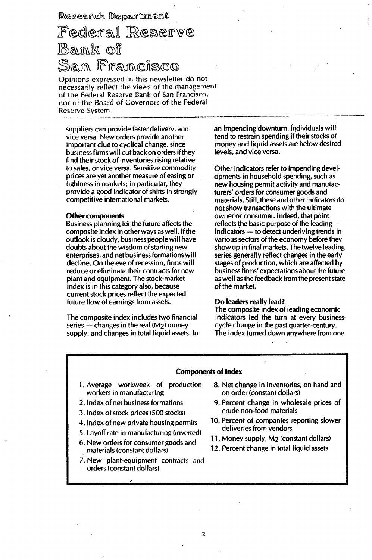Research Department

Federal Reserve Bank of San Francisco

Opinions expressed in this newsletter do not necessarily reflect the views of the management of the Federal Reserve Bank of San Francisco, nor of the Board of Governors of the Federal Reserve System.

suppliers can provide faster deliverv, and vice versa. New orders provide another important clue to cyclical change, since business firms will cut back on orders if they find their stock of inventories rising relative to sales, or vice versa. Sensitive commodity prices are yet another measure of easing or tightness in markets; in particular, they provide a good indicator of shifts in strongly competitive international markets.

#### Other components

Business planning for the future affects the composite index in other ways as well. If the outlook is cloudy, business people will have doubts about the wisdom of starting new enterprises, and net business formations will decline. On the eve of recession, firms will reduce or eliminate their contracts for new plant and equipment. The stock-market index is in this category also, because current stock prices reflect the expected future flow of earnings from assets.

The composite index includes two financial series  $-$  changes in the real ( $M_2$ ) money supply, and changes in total liquid assets. In an impending downturn, individuals will tend to restrain spending if their stocks of money and liquid assets are below desired levels, and vice versa.

Other indicators refer to impending developments in household spending, such as new housing permit activity and manufacturers' orders for consumer goods and materials. Still, these and other indicators do not show transactions with the ultimate owner or consumer. Indeed, that point reflects the basic purpose of the leading indicators - to detect underlying trends in various sectors of the economy before they show up in final markets. The twelve leading series generally reflect changes in the early stages of production, which are affected by business firms' expectations about the future as well as the feedback from the present state of the market.

### Do leaders really lead?

The composite index of leading economic indicators led the turn at every businesscycle change in the past quarter-century. The index turned down anywhere from one

## Components of Index

- 1. Average workweek of production workers in manufacturing
- 2. Index of net business formations
- 1. Index of stock prices (500 stocks)
- 4. Index of new private housing permits
- 5. Layoff rate in manufacturing (inverted)
- 6. New orders for consumer goods and materials (constant dollars)
- 7. New plant-equipment contracts and orders (constant dollars)
- 8. Net change in inventories, on hand and on order (constant dollars)
- 9. Percent change in wholesale prices of crude non-food materials
- 10. Percent of companies reporting slower deliveries from vendors
- 1 1. Money supply, M2 (constant dollars)
- 12. Percent change in total liquid assets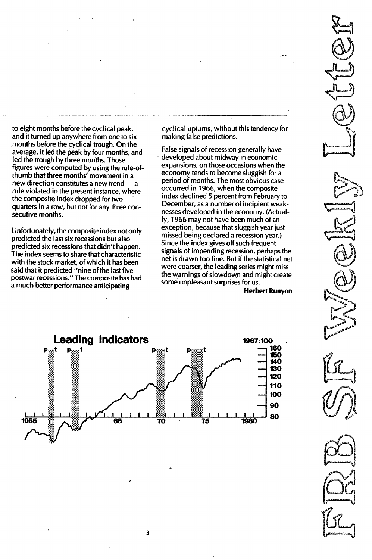to eight months before the cyclical peak, and it turned up anywhere from one to six months before the cyclical trough. On the average, it led the peak by four months, and led the trough by three months. Those figures were computed by using the rule-ofthumb that three months' movement in a new direction constitutes a new trend - a rule violated in the present instance, where the composite index dropped for two quarters in a row, but not for any three consecutive months.

Unfortunately, the composite index not only predicted the last six recessions but also predicted six recessions that didn't happen. The index seems to share that characteristic with the stock market, of which it has been said that it predicted "nine of the last five postwar recessions." The composite has had a much better performance anticipating

cyclical upturns, without this tendency for making false predictions.

False signals of recession generally have developed about midway in economic expansions, on those occasions when the economy tends to become sluggish for a period of months. The most obvious case occurred in 1 966, when the composite index declined 5 percent from February to December, as a number of incipient weaknesses developed in the economy. (Actually, 1 966 may not have been much of an exception, because that sluggish year just missed being declared a recession year.) Since the index gives off such frequent signals of impending recession, perhaps the net is drawn too fine. But if the statistical net were coarser, the leading series might miss the warnings of slowdown and might create some unpleasant surprises for us.

Herbert Runyon